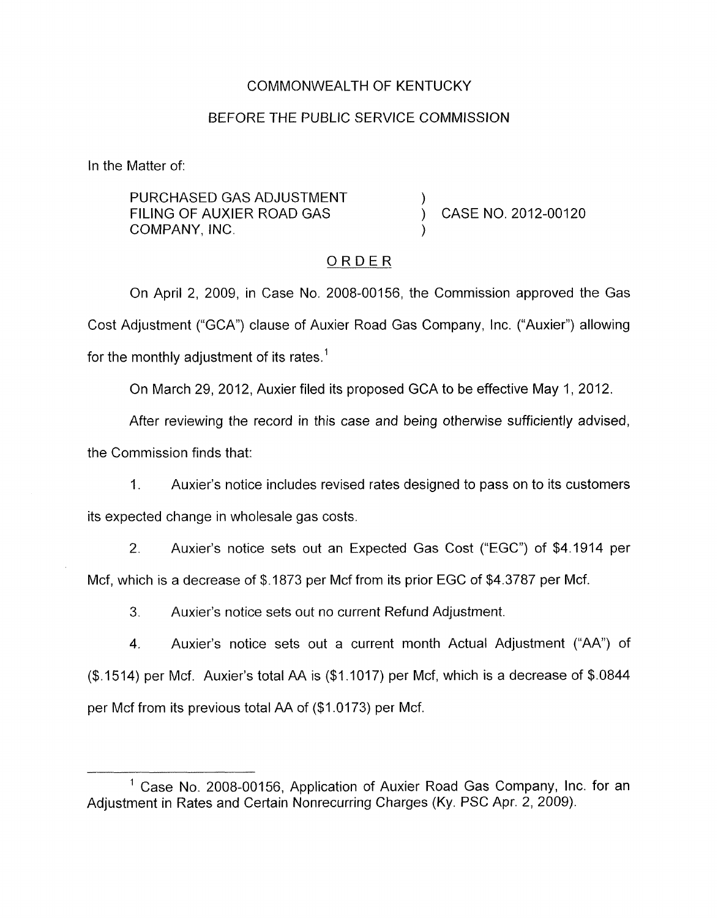### COMMONWEALTH OF KENTUCKY

#### BEFORE THE PUBLIC SERVICE COMMISSION

In the Matter of:

PURCHASED GAS ADJUSTMENT FILING OF AUXIER ROAD GAS (CASE NO. 2012-00120) COMPANY, INC. )

## ORDER

On April 2, 2009, in Case No. 2008-00156, the Commission approved the Gas Cost Adjustment ("GCA") clause of Auxier Road Gas Company, Inc. ("Auxier") allowing for the monthly adjustment of its rates.<sup>1</sup>

On March 29, 2012, Auxier filed its proposed GCA to be effective May I, 2012.

After reviewing the record in this case and being otherwise sufficiently advised, the Commission finds that:

1. Auxier's notice includes revised rates designed to pass on to its customers its expected change in wholesale gas costs.

2. Auxier's notice sets out an Expected Gas Cost ("EGC") of \$4.1914 per Mcf, which is a decrease of \$.I873 per Mcf from its prior EGC of \$4.3787 per Mcf.

*3.* Auxier's notice sets out no current Refund Adjustment.

4. Auxier's notice sets out a current month Actual Adjustment ("AA") of (\$.1514) per Mcf. Auxier's total AA is (\$1.1017) per Mcf, which is a decrease of \$.0844 per Mcf from its previous total AA of (\$1.0173) per Mcf.

 $<sup>1</sup>$  Case No. 2008-00156. Application of Auxier Road Gas Company, Inc. for an</sup> Adjustment in Rates and Certain Nonrecurring Charges (Ky. PSC Apr. 2, 2009).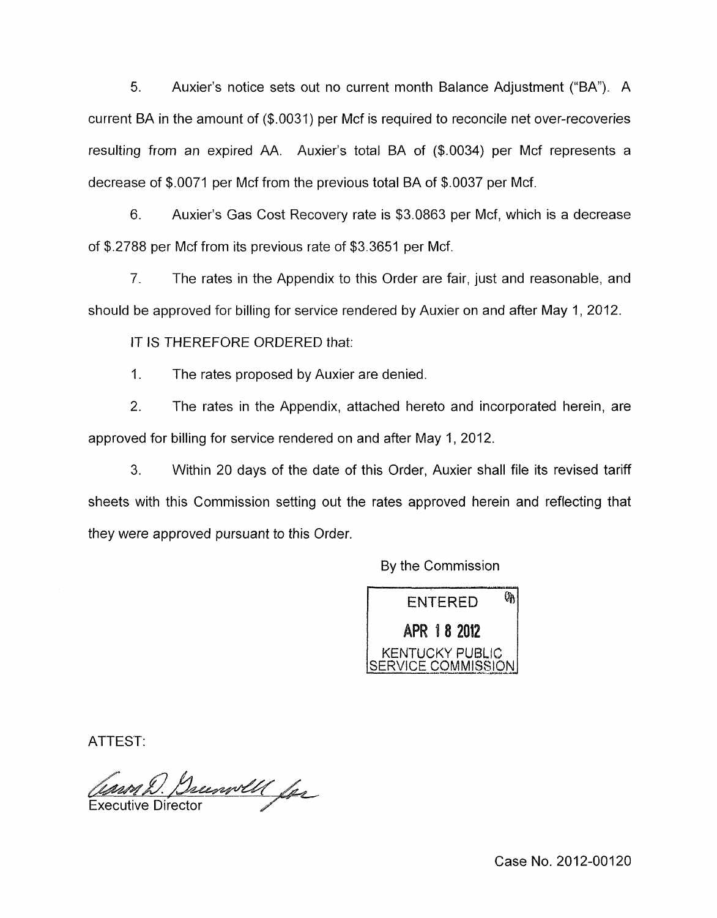5. Auxier's notice sets out no current month Balance Adjustment ("BA"). A current BA in the amount of (\$.0031) per Mcf is required to reconcile net over-recoveries resulting from an expired AA. Auxier's total BA of (\$.0034) per Mcf represents a decrease of \$.0071 per Mcf from the previous total BA of \$.0037 per Mcf.

6. Auxier's Gas Cost Recovery rate is \$3.0863 per Mcf, which is a decrease of \$.2788 per Mcf from its previous rate of \$3.3651 per Mcf.

7. The rates in the Appendix to this Order are fair, just and reasonable, and should be approved for billing for service rendered by Auxier on and after May 1, 2012.

IT IS THEREFORE ORDERED that:

1. The rates proposed by Auxier are denied.

2. The rates in the Appendix, attached hereto and incorporated herein, are approved for billing for service rendered on and after May 1, 2012.

*3.* Within 20 days of the date of this Order, Auxier shall file its revised tariff sheets with this Commission setting out the rates approved herein and reflecting that they were approved pursuant to this Order.

By the Commission

ØĄ **ENTERED** APR 18 2012 **KENTUCKY PUBLIC** *ICE COMMISSION* 

ATTEST':

Decembell for **Executive Director** 

Case No. 2012-00120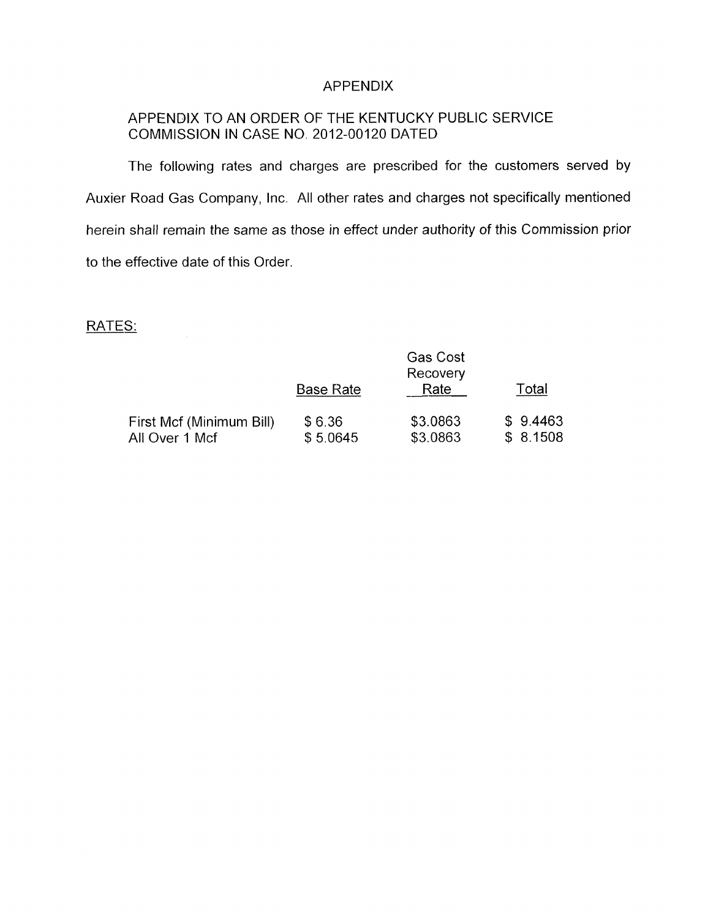#### APPENDIX

# APPENDIX TO AN ORDER OF THE KENTUCKY PUBLIC SERVICE COMMISSION IN CASE NO. 2012-00120 DATED

The following rates and charges are prescribed for the customers served by Auxier Road Gas Company, Inc. All other rates and charges not specifically mentioned herein shall remain the same as those in effect under authority of this Commission prior to the effective date of this Order.

#### RATES:

|                                            | <b>Base Rate</b>   | Rate                 | Total                |
|--------------------------------------------|--------------------|----------------------|----------------------|
| First Mcf (Minimum Bill)<br>All Over 1 Mcf | \$6.36<br>\$5.0645 | \$3.0863<br>\$3.0863 | \$9.4463<br>\$8.1508 |